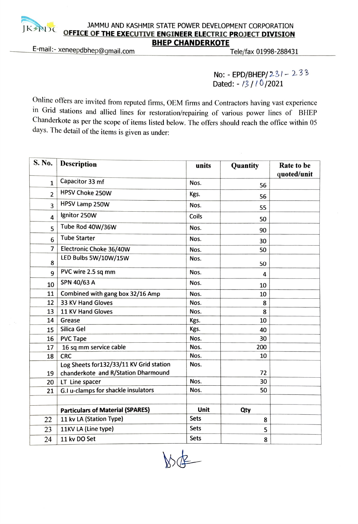

## JAMMU AND KASHMIR STATE POWER DEVELOPMENT CORPORATION JAMMU AND KASHMIR STATE POWER DEVELOPMENT CORPORATION<br>OFFICE OF THE EXECUTIVE ENGINEER ELECTRIC PROJECT DIVISION<br>BHEP CHANDERKOTE

E-mail:- xeneepdbhep@gmail.com Tele/fax 01998-288431

No: - EPD/BHEP/231 - 233 Dated: - 13/10/2021

Online offers are invited from reputed firms, OEM firms and Contractors having vast experience in Grid stations and allied lines for restoration/repairing of various power lines of BHEP Chanderkote as per the scope of items listed below. The offers should reach the office within 05 days. The detail of the items is given as under:

| S. No. | <b>Description</b>                      | units       | Quantity | Rate to be<br>quoted/unit |
|--------|-----------------------------------------|-------------|----------|---------------------------|
| 1      | Capacitor 33 mf                         | Nos.        | 56       |                           |
| 2      | <b>HPSV Choke 250W</b>                  | Kgs.        | 56       |                           |
| 3      | HPSV Lamp 250W                          | Nos.        | 55       |                           |
| 4      | Ignitor 250W                            | Coils       | 50       |                           |
| 5      | Tube Rod 40W/36W                        | Nos.        | 90       |                           |
| 6      | <b>Tube Starter</b>                     | Nos.        | 30       |                           |
| 7      | Electronic Choke 36/40W                 | Nos.        | 50       |                           |
| 8      | LED Bulbs 5W/10W/15W                    | Nos.        | 50       |                           |
| 9      | PVC wire 2.5 sq mm                      | Nos.        | 4        |                           |
| 10     | SPN 40/63 A                             | Nos.        | 10       |                           |
| 11     | Combined with gang box 32/16 Amp        | Nos.        | 10       |                           |
| 12     | 33 KV Hand Gloves                       | Nos.        | 8        |                           |
| 13     | 11 KV Hand Gloves                       | Nos.        | 8        |                           |
| 14     | Grease                                  | Kgs.        | 10       |                           |
| 15     | Silica Gel                              | Kgs.        | 40       |                           |
| 16     | <b>PVC Tape</b>                         | Nos.        | 30       |                           |
| 17     | 16 sq mm service cable                  | Nos.        | 200      |                           |
| 18     | <b>CRC</b>                              | Nos.        | 10       |                           |
|        | Log Sheets for132/33/11 KV Grid station | Nos.        |          |                           |
| 19     | chanderkote and R/Station Dharmound     |             | 72       |                           |
| 20     | LT Line spacer                          | Nos.        | 30       |                           |
| 21     | G.I u-clamps for shackle insulators     | Nos.        | 50       |                           |
|        |                                         |             |          |                           |
|        | <b>Particulars of Material (SPARES)</b> | Unit        | Qty      |                           |
| 22     | 11 kv LA (Station Type)                 | Sets        | 8        |                           |
| 23     | 11KV LA (Line type)                     | <b>Sets</b> | 5        |                           |
| 24     | 11 kv DO Set                            | <b>Sets</b> | 8        |                           |